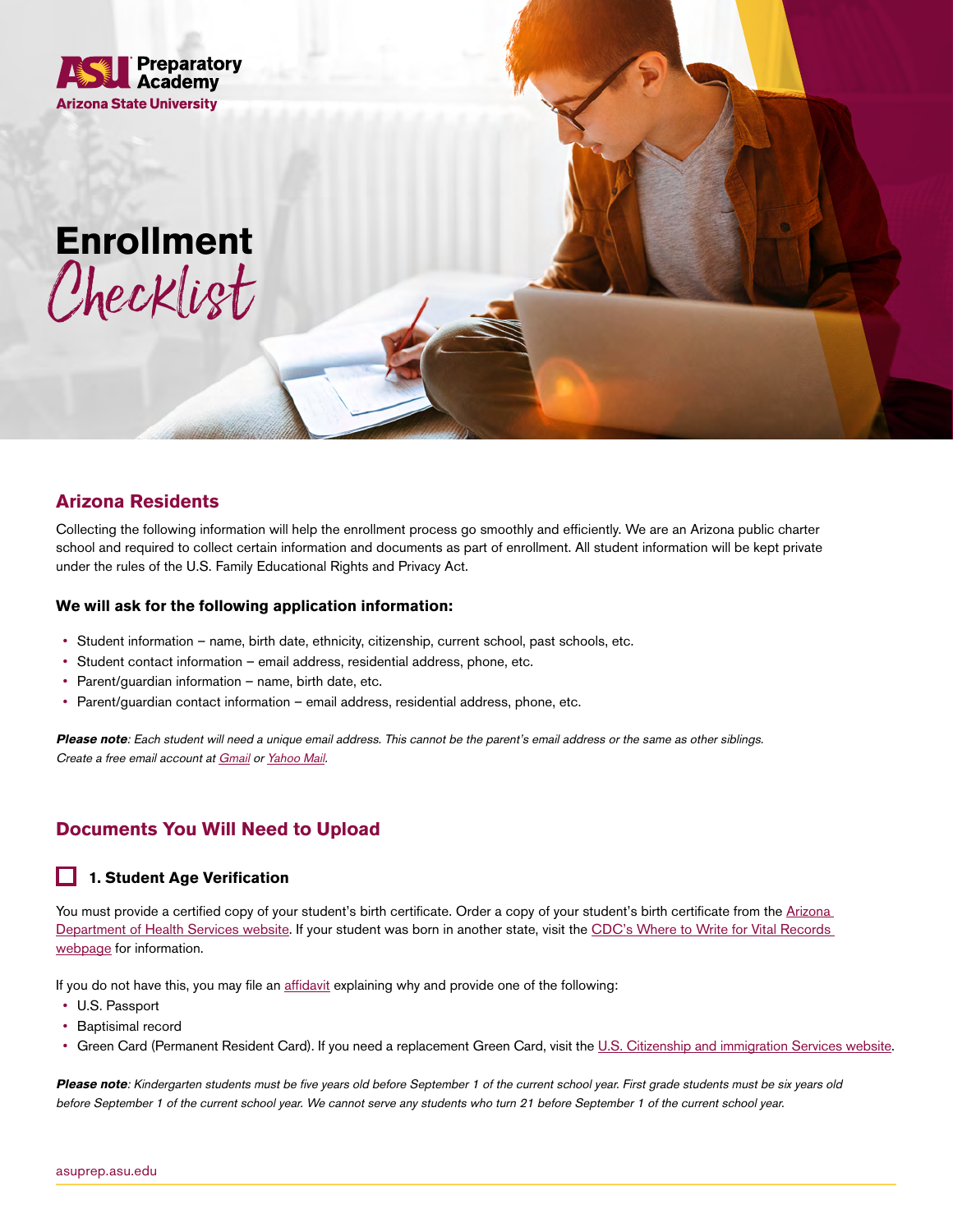

# **Enrollment** Checklist

## **Arizona Residents**

Collecting the following information will help the enrollment process go smoothly and efficiently. We are an Arizona public charter school and required to collect certain information and documents as part of enrollment. All student information will be kept private under the rules of the U.S. Family Educational Rights and Privacy Act.

#### **We will ask for the following application information:**

- Student information name, birth date, ethnicity, citizenship, current school, past schools, etc.
- Student contact information email address, residential address, phone, etc.
- Parent/guardian information name, birth date, etc.
- Parent/guardian contact information email address, residential address, phone, etc.

**Please note**: Each student will need a unique email address. This cannot be the parent's email address or the same as other siblings. Create a free email account at [Gmail](https://www.google.com/gmail/about/) or [Yahoo Mail](https://mail.yahoo.com).

## **Documents You Will Need to Upload**

### **1. Student Age Verification**

You must provide a certified copy of your student's birth certificate. Order a copy of your student's birth certificate from the [Arizona](https://www.azdhs.gov/licensing/vital-records/index.php#birth-certificates-apply)  [Department of Health Services website.](https://www.azdhs.gov/licensing/vital-records/index.php#birth-certificates-apply) If your student was born in another state, visit the CDC's Where to Write for Vital Records [webpage](https://www.cdc.gov/nchs/w2w/index.htm?CDC_AA_refVal=https%3A%2F%2Fwww.cdc.gov%2Fnchs%2Fw2w.htm) for information.

If you do not have this, you may file an [affidavit](http://www2.asuprepdigital.org/l/399272/2021-02-16/gwcs2/399272/1613508295dnVSbPV1/DoB_Verification_Document_Affidavit.pdf) explaining why and provide one of the following:

- U.S. Passport
- Baptisimal record
- Green Card (Permanent Resident Card). If you need a replacement Green Card, visit the [U.S. Citizenship and immigration Services website.](https://www.uscis.gov/i-90)

**Please note**: Kindergarten students must be five years old before September 1 of the current school year. First grade students must be six years old before September 1 of the current school year. We cannot serve any students who turn 21 before September 1 of the current school year.